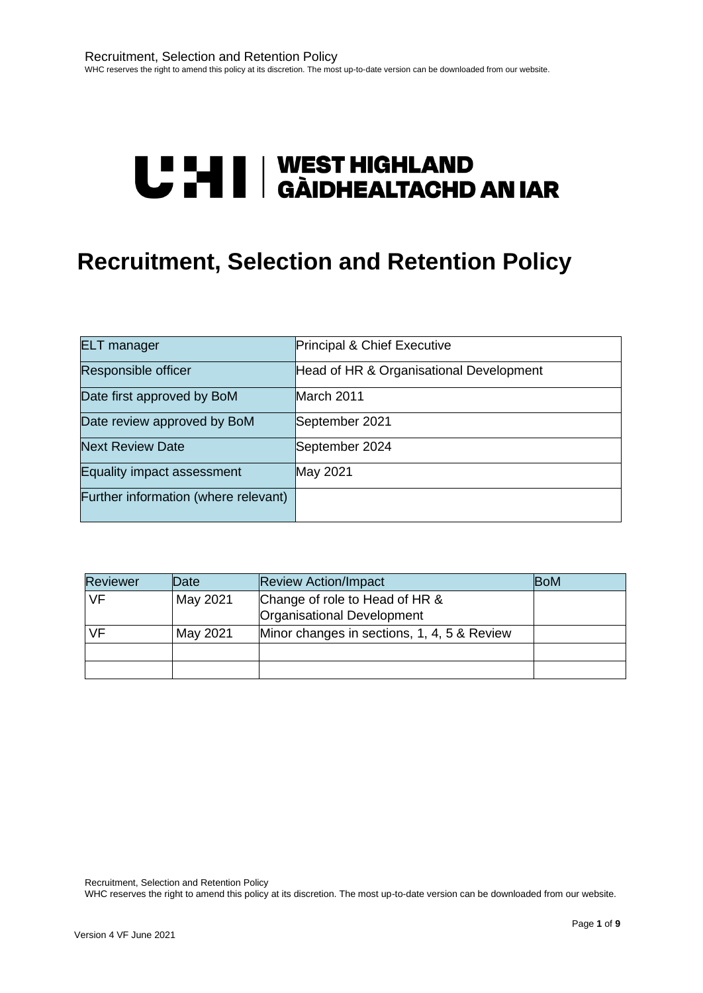# **U "HI | WEST HIGHLAND<br>U THI | GÀIDHEALTACHD AN IAR**

# **Recruitment, Selection and Retention Policy**

| <b>ELT</b> manager                   | Principal & Chief Executive             |
|--------------------------------------|-----------------------------------------|
| Responsible officer                  | Head of HR & Organisational Development |
| Date first approved by BoM           | March 2011                              |
| Date review approved by BoM          | September 2021                          |
| <b>Next Review Date</b>              | September 2024                          |
| Equality impact assessment           | May 2021                                |
| Further information (where relevant) |                                         |

| <b>Reviewer</b> | Date     | <b>Review Action/Impact</b>                                  | <b>BoM</b> |
|-----------------|----------|--------------------------------------------------------------|------------|
| <b>VF</b>       | May 2021 | Change of role to Head of HR &<br>Organisational Development |            |
| VF              | May 2021 | Minor changes in sections, 1, 4, 5 & Review                  |            |
|                 |          |                                                              |            |
|                 |          |                                                              |            |

Recruitment, Selection and Retention Policy

WHC reserves the right to amend this policy at its discretion. The most up-to-date version can be downloaded from our website.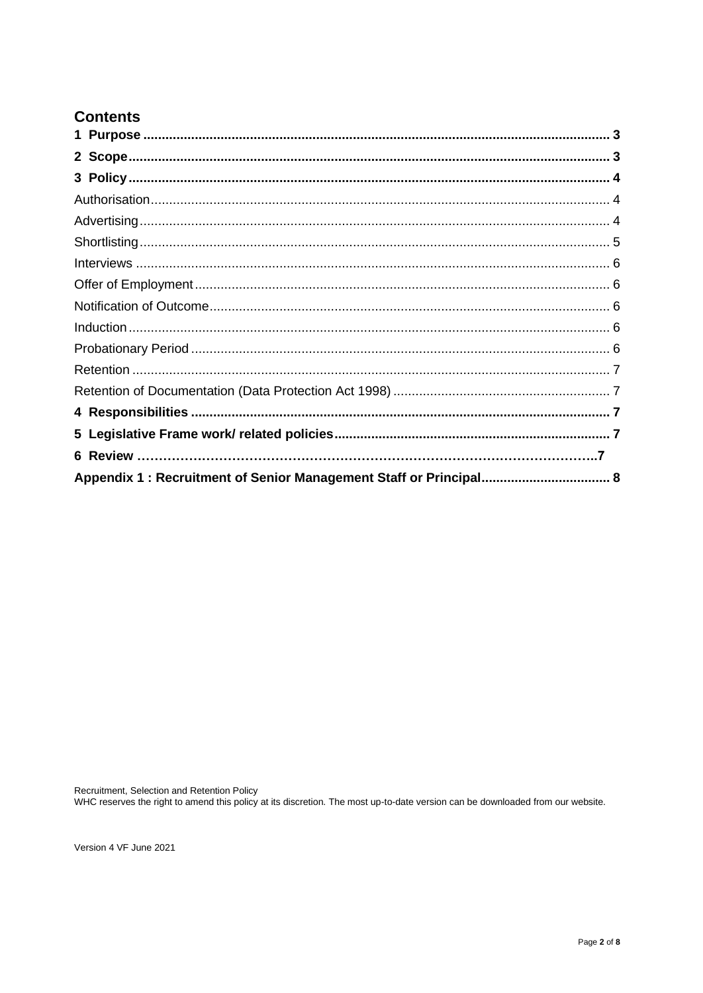# **Contents**

Recruitment, Selection and Retention Policy<br>WHC reserves the right to amend this policy at its discretion. The most up-to-date version can be downloaded from our website.

Version 4 VF June 2021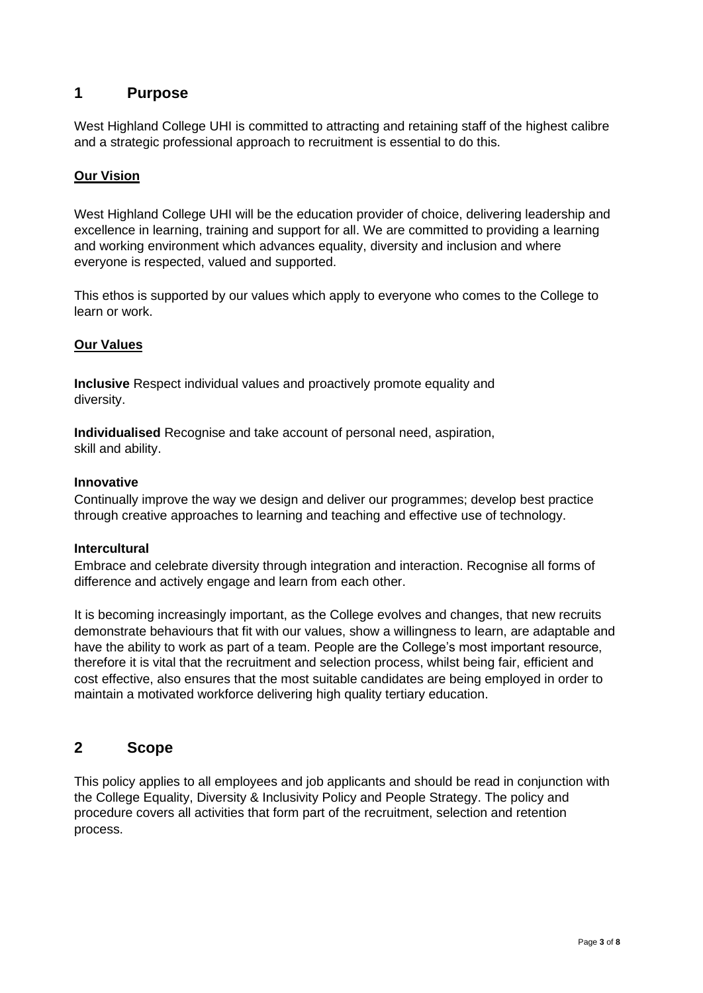# <span id="page-2-0"></span>**1 Purpose**

West Highland College UHI is committed to attracting and retaining staff of the highest calibre and a strategic professional approach to recruitment is essential to do this.

#### **Our Vision**

West Highland College UHI will be the education provider of choice, delivering leadership and excellence in learning, training and support for all. We are committed to providing a learning and working environment which advances equality, diversity and inclusion and where everyone is respected, valued and supported.

This ethos is supported by our values which apply to everyone who comes to the College to learn or work.

#### **Our Values**

**Inclusive** Respect individual values and proactively promote equality and diversity.

**Individualised** Recognise and take account of personal need, aspiration, skill and ability.

#### **Innovative**

Continually improve the way we design and deliver our programmes; develop best practice through creative approaches to learning and teaching and effective use of technology.

#### **Intercultural**

Embrace and celebrate diversity through integration and interaction. Recognise all forms of difference and actively engage and learn from each other.

It is becoming increasingly important, as the College evolves and changes, that new recruits demonstrate behaviours that fit with our values, show a willingness to learn, are adaptable and have the ability to work as part of a team. People are the College's most important resource, therefore it is vital that the recruitment and selection process, whilst being fair, efficient and cost effective, also ensures that the most suitable candidates are being employed in order to maintain a motivated workforce delivering high quality tertiary education.

#### <span id="page-2-1"></span>**2 Scope**

This policy applies to all employees and job applicants and should be read in conjunction with the College Equality, Diversity & Inclusivity Policy and People Strategy. The policy and procedure covers all activities that form part of the recruitment, selection and retention process.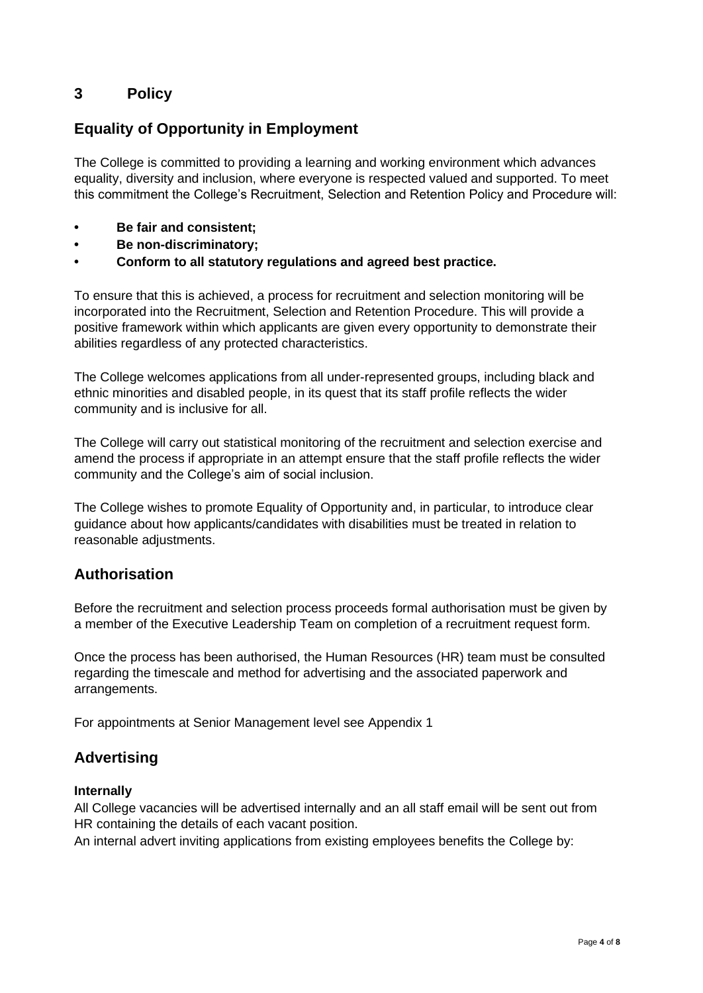# <span id="page-3-0"></span>**3 Policy**

# **Equality of Opportunity in Employment**

The College is committed to providing a learning and working environment which advances equality, diversity and inclusion, where everyone is respected valued and supported. To meet this commitment the College's Recruitment, Selection and Retention Policy and Procedure will:

- **• Be fair and consistent;**
- **• Be non-discriminatory;**
- **• Conform to all statutory regulations and agreed best practice.**

To ensure that this is achieved, a process for recruitment and selection monitoring will be incorporated into the Recruitment, Selection and Retention Procedure. This will provide a positive framework within which applicants are given every opportunity to demonstrate their abilities regardless of any protected characteristics.

The College welcomes applications from all under-represented groups, including black and ethnic minorities and disabled people, in its quest that its staff profile reflects the wider community and is inclusive for all.

The College will carry out statistical monitoring of the recruitment and selection exercise and amend the process if appropriate in an attempt ensure that the staff profile reflects the wider community and the College's aim of social inclusion.

The College wishes to promote Equality of Opportunity and, in particular, to introduce clear guidance about how applicants/candidates with disabilities must be treated in relation to reasonable adjustments.

#### <span id="page-3-1"></span>**Authorisation**

Before the recruitment and selection process proceeds formal authorisation must be given by a member of the Executive Leadership Team on completion of a recruitment request form.

Once the process has been authorised, the Human Resources (HR) team must be consulted regarding the timescale and method for advertising and the associated paperwork and arrangements.

For appointments at Senior Management level see Appendix 1

# <span id="page-3-2"></span>**Advertising**

#### **Internally**

All College vacancies will be advertised internally and an all staff email will be sent out from HR containing the details of each vacant position.

An internal advert inviting applications from existing employees benefits the College by: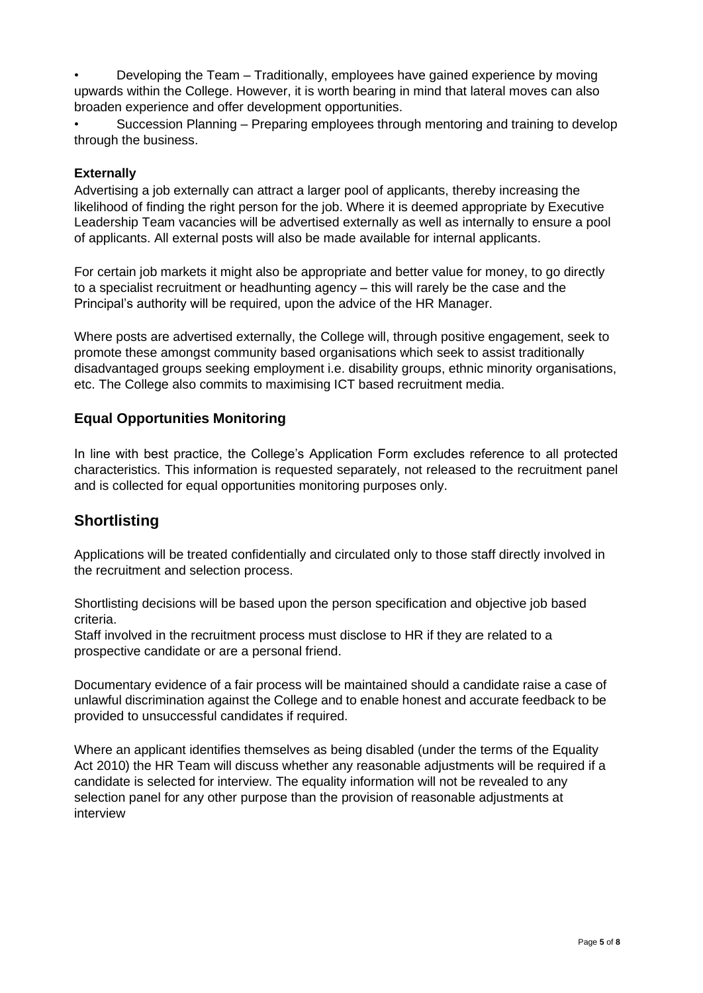• Developing the Team – Traditionally, employees have gained experience by moving upwards within the College. However, it is worth bearing in mind that lateral moves can also broaden experience and offer development opportunities.

• Succession Planning – Preparing employees through mentoring and training to develop through the business.

#### **Externally**

Advertising a job externally can attract a larger pool of applicants, thereby increasing the likelihood of finding the right person for the job. Where it is deemed appropriate by Executive Leadership Team vacancies will be advertised externally as well as internally to ensure a pool of applicants. All external posts will also be made available for internal applicants.

For certain job markets it might also be appropriate and better value for money, to go directly to a specialist recruitment or headhunting agency – this will rarely be the case and the Principal's authority will be required, upon the advice of the HR Manager.

Where posts are advertised externally, the College will, through positive engagement, seek to promote these amongst community based organisations which seek to assist traditionally disadvantaged groups seeking employment i.e. disability groups, ethnic minority organisations, etc. The College also commits to maximising ICT based recruitment media.

#### **Equal Opportunities Monitoring**

In line with best practice, the College's Application Form excludes reference to all protected characteristics. This information is requested separately, not released to the recruitment panel and is collected for equal opportunities monitoring purposes only.

# <span id="page-4-0"></span>**Shortlisting**

Applications will be treated confidentially and circulated only to those staff directly involved in the recruitment and selection process.

Shortlisting decisions will be based upon the person specification and objective job based criteria.

Staff involved in the recruitment process must disclose to HR if they are related to a prospective candidate or are a personal friend.

Documentary evidence of a fair process will be maintained should a candidate raise a case of unlawful discrimination against the College and to enable honest and accurate feedback to be provided to unsuccessful candidates if required.

<span id="page-4-1"></span>Where an applicant identifies themselves as being disabled (under the terms of the Equality Act 2010) the HR Team will discuss whether any reasonable adjustments will be required if a candidate is selected for interview. The equality information will not be revealed to any selection panel for any other purpose than the provision of reasonable adjustments at interview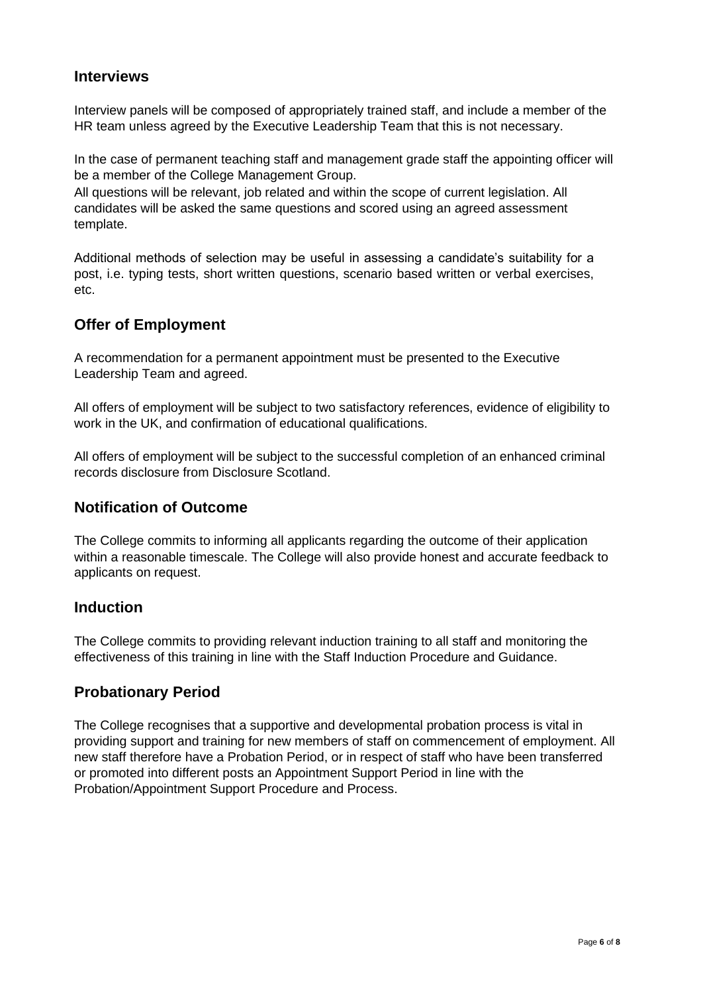# **Interviews**

Interview panels will be composed of appropriately trained staff, and include a member of the HR team unless agreed by the Executive Leadership Team that this is not necessary.

In the case of permanent teaching staff and management grade staff the appointing officer will be a member of the College Management Group.

All questions will be relevant, job related and within the scope of current legislation. All candidates will be asked the same questions and scored using an agreed assessment template.

Additional methods of selection may be useful in assessing a candidate's suitability for a post, i.e. typing tests, short written questions, scenario based written or verbal exercises, etc.

# <span id="page-5-0"></span>**Offer of Employment**

A recommendation for a permanent appointment must be presented to the Executive Leadership Team and agreed.

All offers of employment will be subject to two satisfactory references, evidence of eligibility to work in the UK, and confirmation of educational qualifications.

All offers of employment will be subject to the successful completion of an enhanced criminal records disclosure from Disclosure Scotland.

# <span id="page-5-1"></span>**Notification of Outcome**

The College commits to informing all applicants regarding the outcome of their application within a reasonable timescale. The College will also provide honest and accurate feedback to applicants on request.

#### <span id="page-5-2"></span>**Induction**

The College commits to providing relevant induction training to all staff and monitoring the effectiveness of this training in line with the Staff Induction Procedure and Guidance.

# <span id="page-5-3"></span>**Probationary Period**

<span id="page-5-4"></span>The College recognises that a supportive and developmental probation process is vital in providing support and training for new members of staff on commencement of employment. All new staff therefore have a Probation Period, or in respect of staff who have been transferred or promoted into different posts an Appointment Support Period in line with the Probation/Appointment Support Procedure and Process.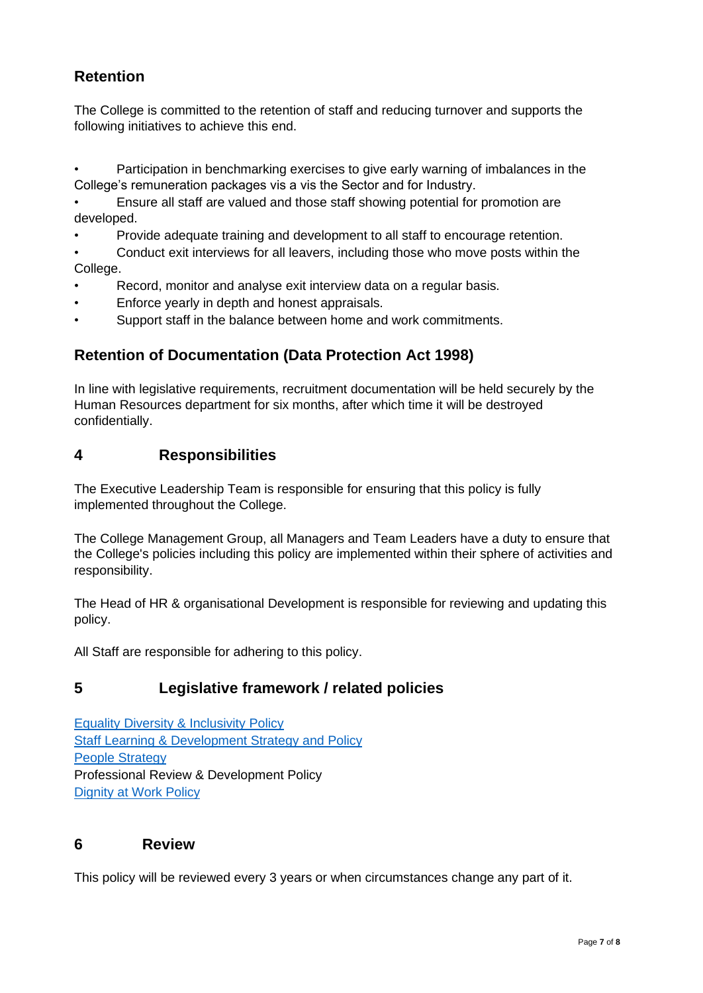# **Retention**

The College is committed to the retention of staff and reducing turnover and supports the following initiatives to achieve this end.

• Participation in benchmarking exercises to give early warning of imbalances in the College's remuneration packages vis a vis the Sector and for Industry.

• Ensure all staff are valued and those staff showing potential for promotion are developed.

• Provide adequate training and development to all staff to encourage retention.

• Conduct exit interviews for all leavers, including those who move posts within the College.

- Record, monitor and analyse exit interview data on a regular basis.
- Enforce yearly in depth and honest appraisals.
- Support staff in the balance between home and work commitments.

# <span id="page-6-0"></span>**Retention of Documentation (Data Protection Act 1998)**

In line with legislative requirements, recruitment documentation will be held securely by the Human Resources department for six months, after which time it will be destroyed confidentially.

# <span id="page-6-1"></span>**4 Responsibilities**

The Executive Leadership Team is responsible for ensuring that this policy is fully implemented throughout the College.

The College Management Group, all Managers and Team Leaders have a duty to ensure that the College's policies including this policy are implemented within their sphere of activities and responsibility.

The Head of HR & organisational Development is responsible for reviewing and updating this policy.

All Staff are responsible for adhering to this policy.

# <span id="page-6-2"></span>**5 Legislative framework / related policies**

[Equality Diversity & Inclusivity Policy](https://staff.whc.uhi.ac.uk/Downloads/All-Policies/HR-Policies/Equality-Diversity-Inclusivity-PolicyUHI.pdf)  [Staff Learning & Development Strategy and Policy](https://staff.whc.uhi.ac.uk/Downloads/All-Policies/HR-Policies/StaffLearningDevelopment-Strategy-Policy.pdf) [People Strategy](https://staff.whc.uhi.ac.uk/Downloads/HR/People-Strategy-2017-21.pdf) Professional Review & Development Policy [Dignity at Work Policy](https://staff.whc.uhi.ac.uk/Downloads/All-Policies/HR-Policies/Dignity-at-Work-Policy.pdf)

#### **6 Review**

This policy will be reviewed every 3 years or when circumstances change any part of it.